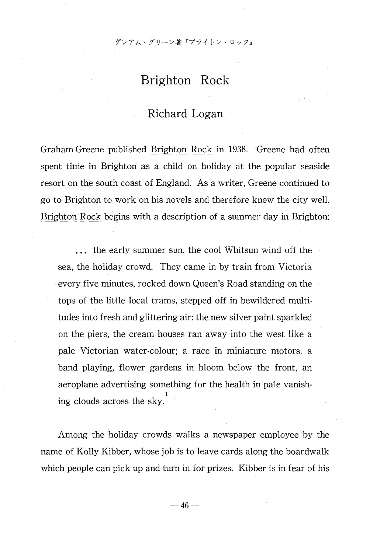# Brighton Rock

## Richard Logan

Graham Greene published Brighton Rock in 1938. Greene had often spent time in Brighton as a child on holiday at the popular seaside resort on the south coast of England. As a writer, Greene continued to go to Brighton to work on his novels and therefore knew the city well. Brighton Rock begins with a description of a summer day in Brighton:

... the early summer sun, the cool Whitsun wind off the sea, the holiday crowd. They came in by train from Victoria every five minutes, rocked down Queen's Road standing on the tops of the little local trams, stepped off in bewildered multitudes into fresh and glittering air: the new silver paint sparkled on the piers, the cream houses ran away into the west like a pale Victorian water-colour; a race in miniature motors, a band playing, flower gardens in bloom below the front, an aeroplane advertising something for the health in pale vanish ing clouds across the sky.

Among the holiday crowds walks a newspaper employee by the name of Kolly Kibber, whose job is to leave cards along the boardwalk which people can pick up and turn in for prizes. Kibber is in fear of his

 $-46-$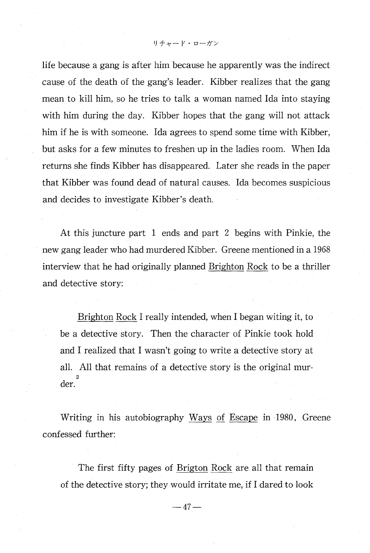リチャード・ローガン

life because a gang is after him because he apparently was the indirect cause of the death of the gang's leader. Kibber realizes that the gang mean to kill him, so he tries to talk a woman named Ida into staying with him during the day. Kibber hopes that the gang will not attack him if he is with someone. Ida agrees to spend some time with Kibber, but asks for a few minutes to freshen up in the ladies room. When Ida returns she finds Kibber has disappeared. Later she reads in the paper that Kibber was found dead of natural causes. Ida becomes suspicious and decides to investigate Kibber's death.

At this juncture part 1 ends and part 2 begins with Pinkie, the new gang leader who had murdered Kibber. Greene mentioned in a 1968 interview that he had originally planned Brighton Rock to be a thriller and detective story:

 Brighton Rock I really intended, when I began witing it, to be a detective story. Then the character of Pinkie took hold and I realized that I wasn't going to write a detective story at all. All that remains of a detective story is the original mur der.

 Writing in his autobiography Ways of Escape in 1980, Greene confessed further:

 The first fifty pages of Brigton Rock are all that remain of the detective story; they would irritate me, if I dared to look

 $-47-$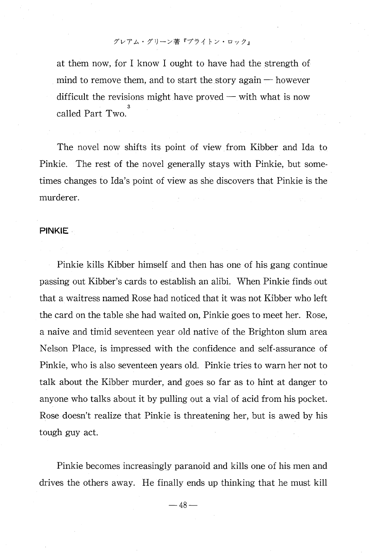at them now, for I know I ought to have had the strength of mind to remove them, and to start the story again  $-$  however difficult the revisions might have proved — with what is now called Part Two.

The novel now shifts its point of view from Kibber and Ida to Pinkie. The rest of the novel generally stays with Pinkie, but sometimes changes to Ida's point of view as she discovers that Pinkie is the murderer.

#### PINKIE

 Pinkie kills Kibber himself and then has one of his gang continue passing out Kibber's cards to establish an alibi. When Pinkie finds out that a waitress named Rose had noticed that it was not Kibber who left the card on the table she had waited on, Pinkie goes to meet her. Rose, a naive and timid seventeen year old native of the Brighton slum area Nelson Place, is impressed with the confidence and self-assurance of Pinkie, who is also seventeen years old. Pinkie tries to warn her not to talk about the Kibber murder, and goes so far as to hint at danger to anyone who talks about it by pulling out a vial of acid from his pocket. Rose doesn't realize that Pinkie is threatening her, but is awed by his tough guy act.

 Pinkie becomes increasingly paranoid and kills one of his men and drives the others away. He finally ends up thinking that he must kill

 $-48-$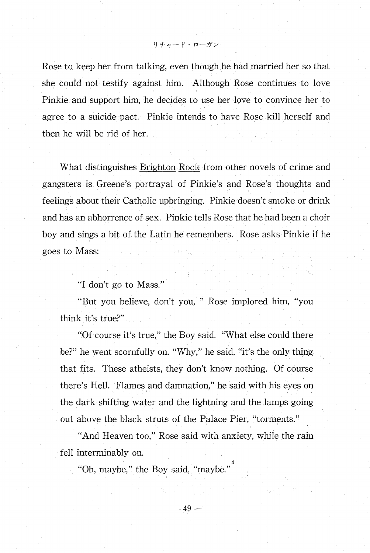Rose to keep her from talking, even though he had married her so that she could not testify against him. Although Rose continues to love Pinkie and support him, he decides to use her love to convince her to agree to a suicide pact. Pinkie intends to have Rose kill herself and then he will be rid of her.

What distinguishes Brighton Rock from other novels of crime and gangsters is Greene's portrayal of Pinkie's and Rose's thoughts and feelings about their Catholic upbringing. Pinkie doesn't smoke or drink and has an abhorrence of sex. Pinkie tells Rose that he had been a choir boy and sings a bit of the Latin he remembers. Rose asks Pinkie if he goes to Mass:

"I don't go to Mass."

"But you believe, don't you, " Rose implored him, "you think it's true?"

"Of course it's true," the Boy said. "What else could there be?" he went scornfully on. "Why," he said, "it's the only thing that fits. These atheists, they don't know nothing. Of course there's Hell. Flames and damnation," he said with his eyes on the dark shifting water and the lightning and the lamps going out above the black struts of the Palace Pier, "torments."

"And Heaven too," Rose said with anxiety, while the rain fell interminably on.

"Oh, maybe," the Boy said, "maybe

 $-49-$ 

リチャード・ローガン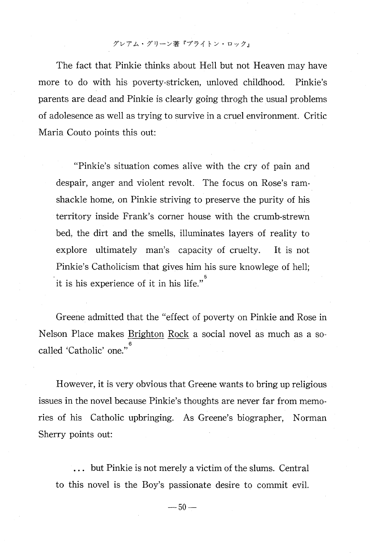The fact that Pinkie thinks about Hell but not Heaven may have more to do with his poverty-stricken, unloved childhood. Pinkie's parents are dead and Pinkie is clearly going throgh the usual problems of adolesence as well as trying to survive in a cruel environment. Critic Maria Couto points this out:

"Pinkie's situation comes alive with the cry of pain and despair, anger and violent revolt. The focus on Rose's ramshackle home, on Pinkie striving to preserve the purity of his territory inside Frank's corner house with the crumb-strewn bed, the dirt and the smells, illuminates layers of reality to explore ultimately man's capacity of cruelty. It is not Pinkie's Catholicism that gives him his sure knowlege of hell; it is his experience of it in his life."

Greene admitted that the "effect of poverty on Pinkie and Rose in Nelson Place makes Brighton Rock a social novel as much as a so called 'Catholic' one."

However, it is very obvious that Greene wants to bring up religious issues in the novel because Pinkie's thoughts are never far from memories of his Catholic upbringing. As Greene's biographer, Norman Sherry points out:

 ... but Pinkie is not merely a victim of the slums. Central to this novel is the Boy's passionate desire to commit evil.

 $-50-$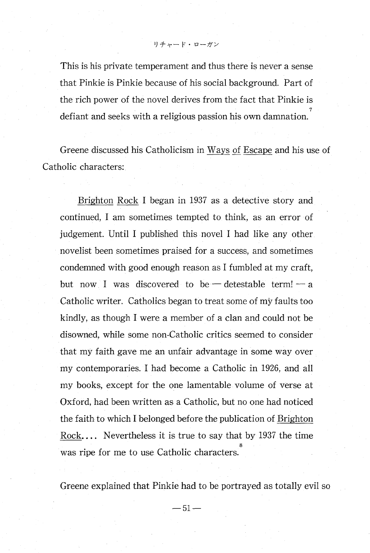$0 + r - r \cdot r - r$ 

This is his private temperament and thus there is never a sense that Pinkie is Pinkie because of his social background. Part of the rich power of the novel derives from the fact that Pinkie is defiant and seeks with a religious passion his own damnation.

Greene discussed his Catholicism in Ways of Escape and his use of Catholic characters:

 Brighton Rock I began in 1937 as a detective story and continued, I am sometimes tempted to think, as an error of judgement. Until I published this novel I had like any other novelist been sometimes praised for a success, and sometimes condemned with good enough reason as I fumbled at my craft, but now I was discovered to be  $-$  detestable term!  $-$  a Catholic writer. Catholics began to treat some of my faults too kindly, as though I were a member of a clan and could not be disowned, while some non-Catholic critics seemed to consider that my faith gave me an unfair advantage in some way over my contemporaries. I had become a Catholic in 1926, and all my books, except for the one lamentable volume of verse at Oxford, had been written as a Catholic, but no one had noticed the faith to which I belonged before the publication of Brighton Rock.... Nevertheless it is true to say that by 1937 the time was ripe for me to use Catholic characters.

Greene explained that Pinkie had to be portrayed as totally evil so

 $-51-$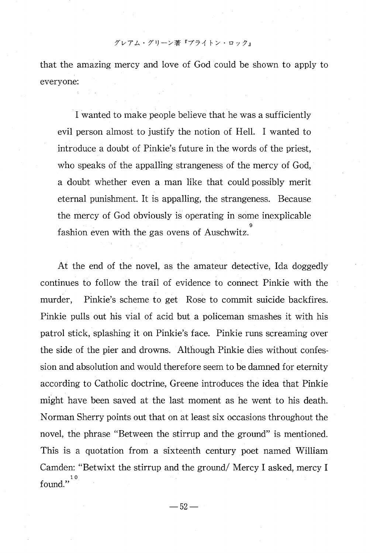that the amazing mercy and love of God could be shown to apply to everyone:

 Iwanted to make people believe that he was a sufficiently evil person almost to justify the notion of Hell. I wanted to introduce a doubt of Pinkie's future in the words of the priest, who speaks of the appalling strangeness of the mercy of God, a doubt whether even a man like that could possibly merit eternal punishment. It is appalling, the strangeness. Because the mercy of God obviously is operating in some inexplicable fashion even with the gas ovens of Auschwitz.

At the end of the novel, as the amateur detective, Ida doggedly continues to follow the trail of evidence to connect Pinkie with the murder, Pinkie's scheme to get Rose to commit suicide backfires. Pinkie pulls out his vial of acid but a policeman smashes it with his patrol stick, splashing it on Pinkie's face. Pinkie runs screaming over the side of the pier and drowns. Although Pinkie dies without confession and absolution and would therefore seem to be damned for eternity according to Catholic doctrine, Greene introduces the idea that Pinkie might have been saved at the last moment as he went to his death. Norman Sherry points out that on at least six occasions throughout the novel, the phrase "Between the stirrup and the ground" is mentioned. This is a quotation from a sixteenth century poet named William Camden: "Betwixt the stirrup and the ground/ Mercy I asked, mercy I found."<sup>1</sup>

 $-52-$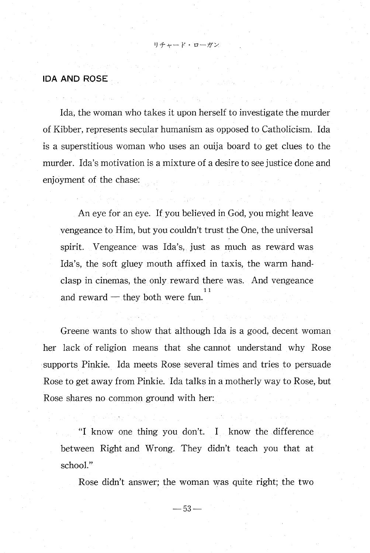#### IDA AND ROSE

 Ida, the woman who takes it upon herself to investigate the murder of Kibber, represents secular humanism as opposed to Catholicism. Ida is a superstitious woman who uses an ouija board to get clues to the murder. Ida's motivation is a mixture of a desire to see justice done and enjoyment of the chase:

リチャード・ローガン

An eye for an eye. If you believed in God, you might leave vengeance to Him, but you couldn't trust the One, the universal spirit. Vengeance was Ida's, just as much as reward was Ida's, the soft gluey mouth affixed in taxis, the warm handclasp in cinemas, the only reward there was. And vengeance 11 and reward  $-$  they both were fun.

Greene wants to show that although Ida is a good, decent woman her lack of religion means that she cannot understand why Rose supports Pinkie. Ida meets Rose several times and tries to persuade Rose to get away from Pinkie. Ida talks in a motherly way to Rose, but Rose shares no common ground with her:

"I know one thing you don't . I know the difference between Right and Wrong. They didn't teach you that at school."

Rose didn't answer; the woman was quite right; the two

 $-53-$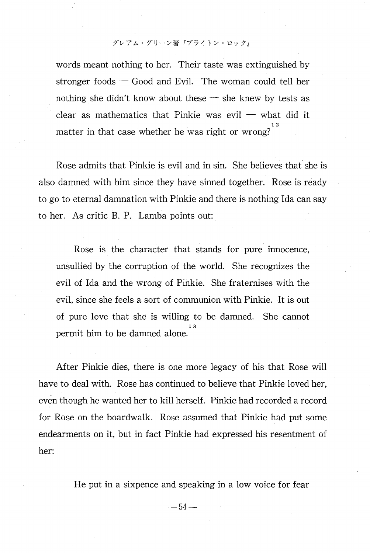words meant nothing to her. Their taste was extinguished by stronger foods — Good and Evil. The woman could tell her nothing she didn't know about these — she knew by tests as clear as mathematics that Pinkie was evil — what did it matter in that case whether he was right or wrong?

Rose admits that Pinkie is evil and in sin. She believes that she is also damned with him since they have sinned together. Rose is ready to go to eternal damnation with Pinkie and there is nothing Ida can say to her. As critic B. P. Lamba points out:

Rose is the character that stands for pure innocence, unsullied by the corruption of the world. She recognizes the evil of Ida and the wrong of Pinkie. She fraternises with the evil, since she feels a sort of communion with Pinkie. It is out of pure love that she is willing to be damned. She cannot permit him to be damned alone.

After Pinkie dies, there is one more legacy of his that Rose will have to deal with. Rose has continued to believe that Pinkie loved her, even though he wanted her to kill herself. Pinkie had recorded a record for Rose on the boardwalk. Rose assumed that Pinkie had put some endearments on it, but in fact Pinkie had expressed his resentment of her:

He put in a sixpence and speaking in a low voice for fear

 $-54-$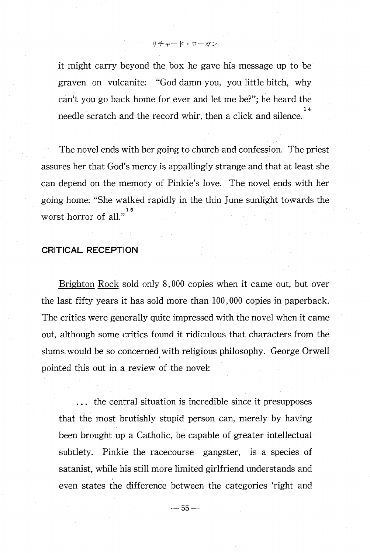it might carry beyond the box he gave his message up to be graven on vulcanite: "God damn you, you little bitch, why can't you go back home for ever and let me be?"; he heard the  $14$ needle scratch and the record whir, then a click and silence.

リチャード・ローガン

The novel ends with her going to church and confession. The priest assures her that God's mercy is appallingly strange and that at least she can depend on the memory of Pinkie's love. The novel ends with her going home: "She walked rapidly in the thin June sunlight towards the worst horror of all."

#### CRITICAL RECEPTION

 Brighton Rock sold only 8,000 copies when it came out, but over the last fifty years it has sold more than 100,000 copies in paperback. The critics were generally quite impressed with the novel when it came out, although some critics found it ridiculous that characters from the slums would be so concerned with religious philosophy. George Orwell pointed this out in a review of the novel:

... the central situation is incredible since it presupposes that the most brutishly stupid person can, merely by having been brought up a Catholic, be capable of greater intellectual subtlety. Pinkie the racecourse gangster, is a species of satanist, while his still more limited girlfriend understands and even states the difference between the categories 'right and

—55—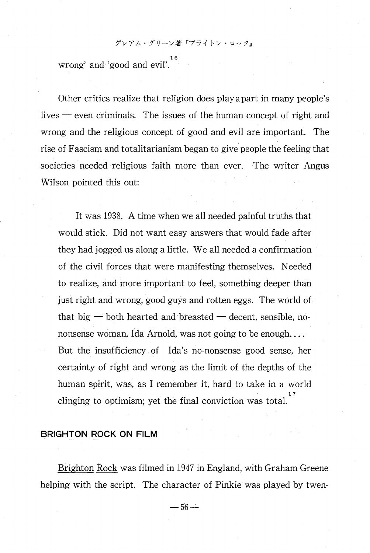wrong' and 'good and evil'.<sup>16</sup>

Other critics realize that religion does play apart in many people's lives — even criminals. The issues of the human concept of right and wrong and the religious concept of good and evil are important. The rise of Fascism and totalitarianism began to give people the feeling that societies needed religious faith more than ever. The writer Angus Wilson pointed this out:

It was 1938. A time when we all needed painful truths that would stick. Did not want easy answers that would fade after they had jogged us along a little. We all needed a confirmation of the civil forces that were manifesting themselves. Needed to realize, and more important to feel, something deeper than just right and wrong, good guys and rotten eggs. The world of that big  $-$  both hearted and breasted  $-$  decent, sensible, nononsense woman, Ida Arnold, was not going to be enough.... But the insufficiency of Ida's no-nonsense good sense, her certainty of right and wrong as the limit of the depths of the human spirit, was, as I remember it, hard to take in a world  $177.77$  and  $177.77$  and  $177.77$  and  $177.77$  and  $177.77$  and  $177.77$  and  $177.77$  and  $177.77$  and  $177.77$  and  $177.77$  and  $177.77$  and  $177.77$  and  $177.77$  and  $177.77$  and  $177.77$  and  $177.77$  and  $177.77$  and clinging to optimism; yet the final conviction was total.

BRIGHTON ROCK ON FILM

Brighton Rock was filmed in 1947 in England, with Graham Greene helping with the script. The character of Pinkie was played by twen-

 $-56-$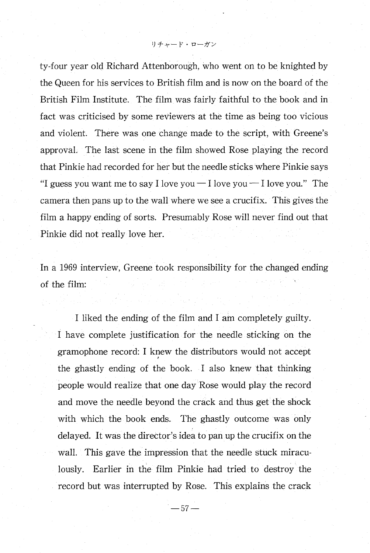リチャード・ローガン

ty-four year old Richard Attenborough, who went on to be knighted by the Queen for his services to British film and is now on the board of the British Film Institute. The film was fairly faithful to the book and in fact was criticised by some reviewers at the time as being too vicious and violent. There was one change made to the script, with Greene's approval. The last scene in the film showed Rose playing the record that Pinkie had recorded for her but the needle sticks where Pinkie says "I guess you want me to say I love you — I love you — I love you ." The camera then pans up to the wall where we see a crucifix. This gives the film a happy ending of sorts. Presumably Rose will never find out that Pinkie did not really love her.

In a 1969 interview, Greene took responsibility for the changed ending of the film:

 I liked the ending of the film and I am completely guilty. I have complete justification for the needle sticking on the gramophone record: I knew the distributors would not accept the ghastly ending of the book. I also knew that thinking people would realize that one day Rose would play the record and move the needle beyond the crack and thus get the shock with which the book ends. The ghastly outcome was only delayed. It was the director's idea to pan up the crucifix on the wall. This gave the impression that the needle stuck miraculously. Earlier in the film Pinkie had tried to destroy the record but was interrupted by Rose. This explains the crack

 $-57-$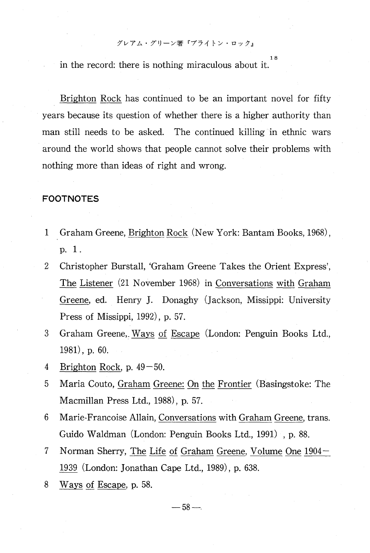18 in the record: there is nothing miraculous about it.

Brighton Rock has continued to be an important novel for fifty years because its question of whether there is a higher authority than man still needs to be asked. The continued killing in ethnic wars around the world shows that people cannot solve their problems with nothing more than ideas of right and wrong.

#### FOOTNOTES

- 1 Graham Greene, Brighton Rock (New York: Bantam Books, 1968), P. 1.
- 2 Christopher Burstall, 'Graham Greene Takes the Orient Express', The Listener (21 November 1968) in Conversations with Graham Greene, ed. Henry J. Donaghy (Jackson, Missippi: University Press of Missippi, 1992), p. 57.
- 3 Graham Greene, Ways of Escape (London: Penguin Books Ltd., 1981), p. 60.
- 4 Brighton Rock, p.  $49-50$ .
- 5 Maria Couto, Graham Greene: On the Frontier (Basingstoke: The Macmillan Press Ltd., 1988), p. 57.
- 6 Marie-Francoise Allain, Conversations with Graham Greene, trans. Guido Waldman (London: Penguin Books Ltd., 1991) , p. 88.
- 7 Norman Sherry, The Life of Graham Greene, Volume One 1904- 1939 (London: Jonathan Cape Ltd., 1989), p. 638.
- 8 Ways of Escape, p. 58.